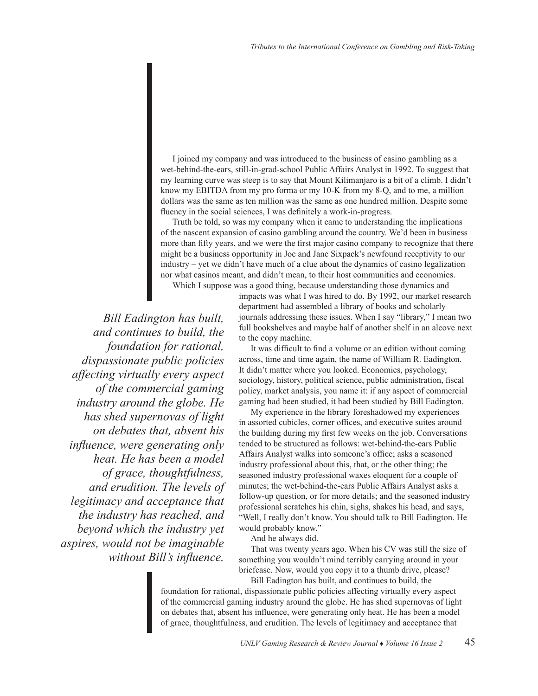I joined my company and was introduced to the business of casino gambling as a wet-behind-the-ears, still-in-grad-school Public Affairs Analyst in 1992. To suggest that my learning curve was steep is to say that Mount Kilimanjaro is a bit of a climb. I didn't know my EBITDA from my pro forma or my 10-K from my 8-Q, and to me, a million dollars was the same as ten million was the same as one hundred million. Despite some fluency in the social sciences, I was definitely a work-in-progress.

Truth be told, so was my company when it came to understanding the implications of the nascent expansion of casino gambling around the country. We'd been in business more than fifty years, and we were the first major casino company to recognize that there might be a business opportunity in Joe and Jane Sixpack's newfound receptivity to our industry – yet we didn't have much of a clue about the dynamics of casino legalization nor what casinos meant, and didn't mean, to their host communities and economies. Which I suppose was a good thing, because understanding those dynamics and

*Bill Eadington has built, and continues to build, the foundation for rational, dispassionate public policies affecting virtually every aspect of the commercial gaming industry around the globe. He has shed supernovas of light on debates that, absent his influence, were generating only heat. He has been a model of grace, thoughtfulness, and erudition. The levels of legitimacy and acceptance that the industry has reached, and beyond which the industry yet aspires, would not be imaginable without Bill's influence.* 

impacts was what I was hired to do. By 1992, our market research department had assembled a library of books and scholarly journals addressing these issues. When I say "library," I mean two full bookshelves and maybe half of another shelf in an alcove next to the copy machine.

It was difficult to find a volume or an edition without coming across, time and time again, the name of William R. Eadington. It didn't matter where you looked. Economics, psychology, sociology, history, political science, public administration, fiscal policy, market analysis, you name it: if any aspect of commercial gaming had been studied, it had been studied by Bill Eadington.

My experience in the library foreshadowed my experiences in assorted cubicles, corner offices, and executive suites around the building during my first few weeks on the job. Conversations tended to be structured as follows: wet-behind-the-ears Public Affairs Analyst walks into someone's office; asks a seasoned industry professional about this, that, or the other thing; the seasoned industry professional waxes eloquent for a couple of minutes; the wet-behind-the-ears Public Affairs Analyst asks a follow-up question, or for more details; and the seasoned industry professional scratches his chin, sighs, shakes his head, and says, "Well, I really don't know. You should talk to Bill Eadington. He would probably know."

And he always did.

That was twenty years ago. When his CV was still the size of something you wouldn't mind terribly carrying around in your briefcase. Now, would you copy it to a thumb drive, please?

Bill Eadington has built, and continues to build, the foundation for rational, dispassionate public policies affecting virtually every aspect of the commercial gaming industry around the globe. He has shed supernovas of light on debates that, absent his influence, were generating only heat. He has been a model of grace, thoughtfulness, and erudition. The levels of legitimacy and acceptance that